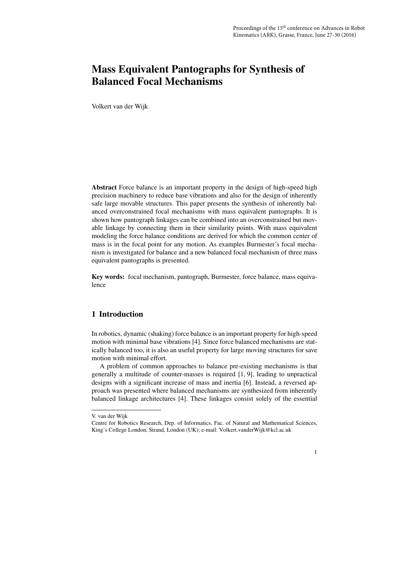Volkert van der Wijk

Abstract Force balance is an important property in the design of high-speed high precision machinery to reduce base vibrations and also for the design of inherently safe large movable structures. This paper presents the synthesis of inherently balanced overconstrained focal mechanisms with mass equivalent pantographs. It is shown how pantograph linkages can be combined into an overconstrained but movable linkage by connecting them in their similarity points. With mass equivalent modeling the force balance conditions are derived for which the common center of mass is in the focal point for any motion. As examples Burmester's focal mechanism is investigated for balance and a new balanced focal mechanism of three mass equivalent pantographs is presented.

Key words: focal mechanism, pantograph, Burmester, force balance, mass equivalence

## 1 Introduction

In robotics, dynamic (shaking) force balance is an important property for high-speed motion with minimal base vibrations [4]. Since force balanced mechanisms are statically balanced too, it is also an useful property for large moving structures for save motion with minimal effort.

A problem of common approaches to balance pre-existing mechanisms is that generally a multitude of counter-masses is required [1, 9], leading to unpractical designs with a significant increase of mass and inertia [6]. Instead, a reversed approach was presented where balanced mechanisms are synthesized from inherently balanced linkage architectures [4]. These linkages consist solely of the essential

Centre for Robotics Research, Dep. of Informatics, Fac. of Natural and Mathematical Sciences, King's College London, Strand, London (UK); e-mail: Volkert.vanderWijk@kcl.ac.uk



V. van der Wijk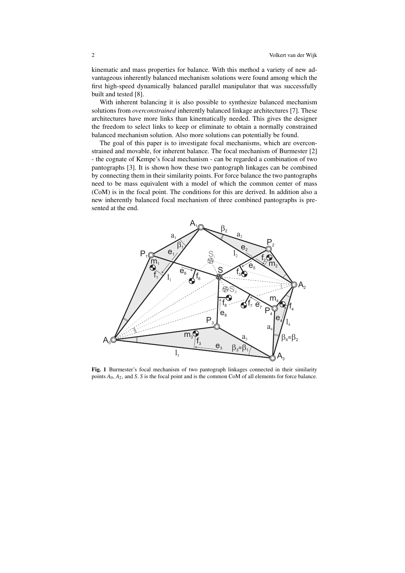kinematic and mass properties for balance. With this method a variety of new advantageous inherently balanced mechanism solutions were found among which the first high-speed dynamically balanced parallel manipulator that was successfully built and tested [8].

With inherent balancing it is also possible to synthesize balanced mechanism solutions from *overconstrained* inherently balanced linkage architectures [7]. These architectures have more links than kinematically needed. This gives the designer the freedom to select links to keep or eliminate to obtain a normally constrained balanced mechanism solution. Also more solutions can potentially be found.

The goal of this paper is to investigate focal mechanisms, which are overconstrained and movable, for inherent balance. The focal mechanism of Burmester [2] - the cognate of Kempe's focal mechanism - can be regarded a combination of two pantographs [3]. It is shown how these two pantograph linkages can be combined by connecting them in their similarity points. For force balance the two pantographs need to be mass equivalent with a model of which the common center of mass (CoM) is in the focal point. The conditions for this are derived. In addition also a new inherently balanced focal mechanism of three combined pantographs is presented at the end.



Fig. 1 Burmester's focal mechanism of two pantograph linkages connected in their similarity points *A*0, *A*2, and *S*. *S* is the focal point and is the common CoM of all elements for force balance.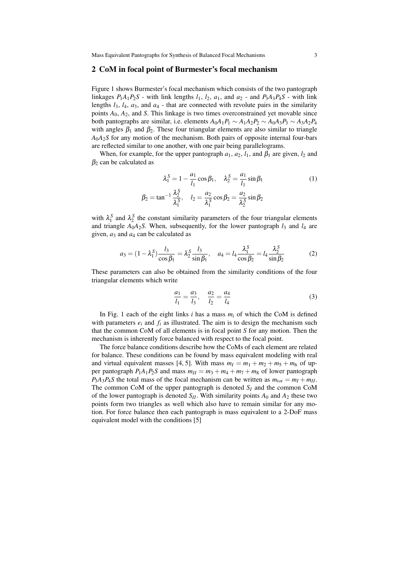#### 2 CoM in focal point of Burmester's focal mechanism

Figure 1 shows Burmester's focal mechanism which consists of the two pantograph linkages  $P_1A_1P_2S$  - with link lengths  $l_1$ ,  $l_2$ ,  $a_1$ , and  $a_2$  - and  $P_3A_3P_4S$  - with link lengths  $l_3$ ,  $l_4$ ,  $a_3$ , and  $a_4$  - that are connected with revolute pairs in the similarity points  $A_0$ ,  $A_2$ , and *S*. This linkage is two times overconstrained yet movable since both pantographs are similar, i.e. elements  $A_0A_1P_1 \sim A_1A_2P_2 \sim A_0A_3P_3 \sim A_3A_2P_4$ with angles  $\beta_1$  and  $\beta_2$ . These four triangular elements are also similar to triangle  $A_0A_2S$  for any motion of the mechanism. Both pairs of opposite internal four-bars are reflected similar to one another, with one pair being parallelograms.

When, for example, for the upper pantograph  $a_1$ ,  $a_2$ ,  $l_1$ , and  $\beta_1$  are given,  $l_2$  and  $\beta_2$  can be calculated as

$$
\lambda_1^S = 1 - \frac{a_1}{l_1} \cos \beta_1, \quad \lambda_2^S = \frac{a_1}{l_1} \sin \beta_1
$$
  

$$
\beta_2 = \tan^{-1} \frac{\lambda_2^S}{\lambda_1^S}, \quad l_2 = \frac{a_2}{\lambda_1^S} \cos \beta_2 = \frac{a_2}{\lambda_2^S} \sin \beta_2
$$
 (1)

with  $\lambda_1^S$  and  $\lambda_2^S$  the constant similarity parameters of the four triangular elements and triangle  $A_0A_2S$ . When, subsequently, for the lower pantograph  $l_3$  and  $l_4$  are given,  $a_3$  and  $a_4$  can be calculated as

$$
a_3 = (1 - \lambda_1^S) \frac{l_3}{\cos \beta_1} = \lambda_2^S \frac{l_3}{\sin \beta_1}, \quad a_4 = l_4 \frac{\lambda_1^S}{\cos \beta_2} = l_4 \frac{\lambda_2^S}{\sin \beta_2}
$$
(2)

These parameters can also be obtained from the similarity conditions of the four triangular elements which write

$$
\frac{a_1}{l_1} = \frac{a_3}{l_3}, \quad \frac{a_2}{l_2} = \frac{a_4}{l_4} \tag{3}
$$

In Fig. 1 each of the eight links *i* has a mass *m<sup>i</sup>* of which the CoM is defined with parameters  $e_i$  and  $f_i$  as illustrated. The aim is to design the mechanism such that the common CoM of all elements is in focal point *S* for any motion. Then the mechanism is inherently force balanced with respect to the focal point.

The force balance conditions describe how the CoMs of each element are related for balance. These conditions can be found by mass equivalent modeling with real and virtual equivalent masses [4, 5]. With mass  $m_I = m_1 + m_2 + m_5 + m_6$  of upper pantograph  $P_1A_1P_2S$  and mass  $m_{II} = m_3 + m_4 + m_7 + m_8$  of lower pantograph  $P_3A_3P_4S$  the total mass of the focal mechanism can be written as  $m_{tot} = m_I + m_{II}$ . The common CoM of the upper pantograph is denoted *S<sup>I</sup>* and the common CoM of the lower pantograph is denoted  $S_I$ . With similarity points  $A_0$  and  $A_2$  these two points form two triangles as well which also have to remain similar for any motion. For force balance then each pantograph is mass equivalent to a 2-DoF mass equivalent model with the conditions [5]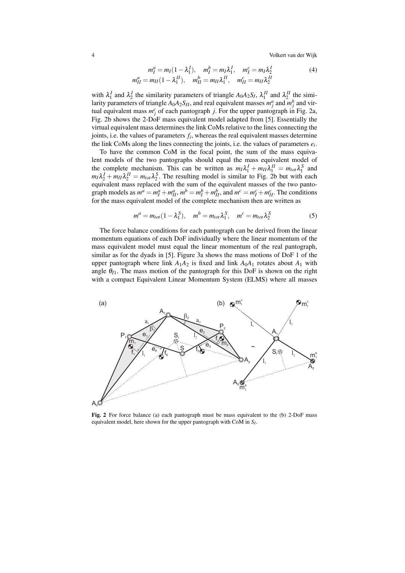4 Volkert van der Wijk

$$
m_I^a = m_I (1 - \lambda_1^I), \quad m_I^b = m_I \lambda_1^I, \quad m_I^c = m_I \lambda_2^I
$$
  
\n
$$
m_{II}^a = m_{II} (1 - \lambda_1^{II}), \quad m_{II}^b = m_{II} \lambda_1^{II}, \quad m_{II}^c = m_{II} \lambda_2^{II}
$$
\n(4)

with  $\lambda_1^I$  and  $\lambda_2^I$  the similarity parameters of triangle  $A_0A_2S_I$ ,  $\lambda_1^{II}$  and  $\lambda_2^{II}$  the similarity parameters of triangle  $A_0A_2S_H$ , and real equivalent masses  $m_j^a$  and  $m_j^b$  and virtual equivalent mass  $m_j^c$  of each pantograph *j*. For the upper pantograph in Fig. 2a, Fig. 2b shows the 2-DoF mass equivalent model adapted from [5]. Essentially the virtual equivalent mass determines the link CoMs relative to the lines connecting the joints, i.e. the values of parameters *f<sup>i</sup>* , whereas the real equivalent masses determine the link CoMs along the lines connecting the joints, i.e. the values of parameters  $e_i$ .

To have the common CoM in the focal point, the sum of the mass equivalent models of the two pantographs should equal the mass equivalent model of the complete mechanism. This can be written as  $m_I \lambda_1^I + m_{II} \lambda_1^{II} = m_{tot} \lambda_1^S$  and  $m_I \lambda_2^I + m_{II} \lambda_2^{II} = m_{tot} \lambda_2^S$ . The resulting model is similar to Fig. 2b but with each equivalent mass replaced with the sum of the equivalent masses of the two pantograph models as  $m^a = m_I^a + m_{II}^a$ ,  $m^b = m_I^b + m_{II}^b$ , and  $m^c = m_I^c + m_{II}^c$ . The conditions for the mass equivalent model of the complete mechanism then are written as

$$
m^{a} = m_{tot} (1 - \lambda_1^{S}), \quad m^{b} = m_{tot} \lambda_1^{S}, \quad m^{c} = m_{tot} \lambda_2^{S}
$$
 (5)

The force balance conditions for each pantograph can be derived from the linear momentum equations of each DoF individually where the linear momentum of the mass equivalent model must equal the linear momentum of the real pantograph, similar as for the dyads in [5]. Figure 3a shows the mass motions of DoF 1 of the upper pantograph where link  $A_1A_2$  is fixed and link  $A_0A_1$  rotates about  $A_1$  with angle  $\theta_{I1}$ . The mass motion of the pantograph for this DoF is shown on the right with a compact Equivalent Linear Momentum System (ELMS) where all masses



Fig. 2 For force balance (a) each pantograph must be mass equivalent to the (b) 2-DoF mass equivalent model, here shown for the upper pantograph with CoM in *S<sup>I</sup>* .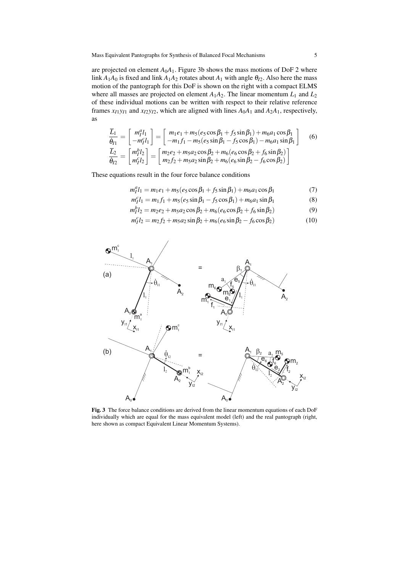are projected on element  $A_0A_1$ . Figure 3b shows the mass motions of DoF 2 where link  $A_1A_0$  is fixed and link  $A_1A_2$  rotates about  $A_1$  with angle  $\theta_{I2}$ . Also here the mass motion of the pantograph for this DoF is shown on the right with a compact ELMS where all masses are projected on element  $A_1A_2$ . The linear momentum  $L_1$  and  $L_2$ of these individual motions can be written with respect to their relative reference frames  $x_{I1}y_{I1}$  and  $x_{I2}y_{I2}$ , which are aligned with lines  $A_0A_1$  and  $A_2A_1$ , respectively, as

$$
\frac{\overline{L}_1}{\dot{\theta}_{I1}} = \begin{bmatrix} m_1^a l_1 \\ -m_1^c l_1 \end{bmatrix} = \begin{bmatrix} m_1 e_1 + m_5 (e_5 \cos \beta_1 + f_5 \sin \beta_1) + m_6 a_1 \cos \beta_1 \\ -m_1 f_1 - m_5 (e_5 \sin \beta_1 - f_5 \cos \beta_1) - m_6 a_1 \sin \beta_1 \end{bmatrix}
$$
(6)  
\n
$$
\frac{\overline{L}_2}{\dot{\theta}_{I2}} = \begin{bmatrix} m_1^b l_2 \\ m_1^c l_2 \end{bmatrix} = \begin{bmatrix} m_2 e_2 + m_5 a_2 \cos \beta_2 + m_6 (e_6 \cos \beta_2 + f_6 \sin \beta_2) \\ m_2 f_2 + m_5 a_2 \sin \beta_2 + m_6 (e_6 \sin \beta_2 - f_6 \cos \beta_2) \end{bmatrix}
$$

These equations result in the four force balance conditions

$$
m_1^a l_1 = m_1 e_1 + m_5 (e_5 \cos \beta_1 + f_5 \sin \beta_1) + m_6 a_1 \cos \beta_1
$$
 (7)

 $m_l^c l_1 = m_1 f_1 + m_5 (e_5 \sin \beta_1 - f_5 \cos \beta_1) + m_6 a_1 \sin \beta_1$  (8)

$$
m_l^b l_2 = m_2 e_2 + m_5 a_2 \cos \beta_2 + m_6 (e_6 \cos \beta_2 + f_6 \sin \beta_2)
$$
(9)

$$
m_1^c l_2 = m_2 f_2 + m_5 a_2 \sin \beta_2 + m_6 (e_6 \sin \beta_2 - f_6 \cos \beta_2)
$$
 (10)



Fig. 3 The force balance conditions are derived from the linear momentum equations of each DoF individually which are equal for the mass equivalent model (left) and the real pantograph (right, here shown as compact Equivalent Linear Momentum Systems).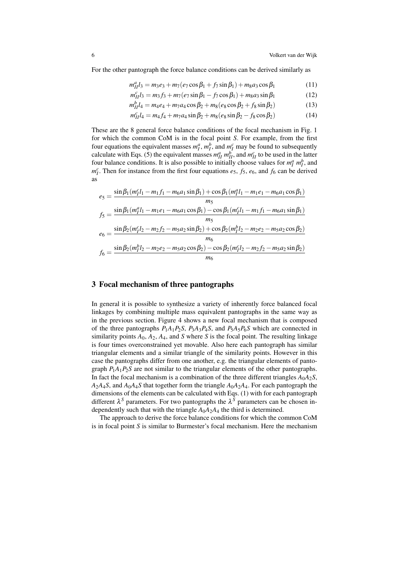For the other pantograph the force balance conditions can be derived similarly as

$$
m_{II}^a l_3 = m_3 e_3 + m_7 (e_7 \cos \beta_1 + f_7 \sin \beta_1) + m_8 a_3 \cos \beta_1 \tag{11}
$$

$$
m_{II}^c l_3 = m_3 f_3 + m_7 (e_7 \sin \beta_1 - f_7 \cos \beta_1) + m_8 a_3 \sin \beta_1
$$
 (12)

$$
m_{II}^b l_4 = m_4 e_4 + m_7 a_4 \cos \beta_2 + m_8 (e_8 \cos \beta_2 + f_8 \sin \beta_2)
$$
(13)

$$
m_{II}^c l_4 = m_4 f_4 + m_7 a_4 \sin \beta_2 + m_8 (e_8 \sin \beta_2 - f_8 \cos \beta_2)
$$
 (14)

These are the 8 general force balance conditions of the focal mechanism in Fig. 1 for which the common CoM is in the focal point *S*. For example, from the first four equations the equivalent masses  $m_I^a$ ,  $m_I^b$ , and  $m_I^c$  may be found to subsequently calculate with Eqs. (5) the equivalent masses  $m_{II}^a m_{II}^b$ , and  $m_{II}^c$  to be used in the latter four balance conditions. It is also possible to initially choose values for  $m_l^a m_l^b$ , and  $m_l^c$ . Then for instance from the first four equations *e*<sub>5</sub>, *f*<sub>5</sub>, *e*<sub>6</sub>, and *f*<sub>6</sub> can be derived as

$$
e_5 = \frac{\sin \beta_1 (m_1^c l_1 - m_1 f_1 - m_6 a_1 \sin \beta_1) + \cos \beta_1 (m_1^a l_1 - m_1 e_1 - m_6 a_1 \cos \beta_1)}{m_5}
$$
  
\n
$$
f_5 = \frac{\sin \beta_1 (m_1^a l_1 - m_1 e_1 - m_6 a_1 \cos \beta_1) - \cos \beta_1 (m_1^c l_1 - m_1 f_1 - m_6 a_1 \sin \beta_1)}{m_5}
$$
  
\n
$$
e_6 = \frac{\sin \beta_2 (m_1^c l_2 - m_2 f_2 - m_5 a_2 \sin \beta_2) + \cos \beta_2 (m_1^b l_2 - m_2 e_2 - m_5 a_2 \cos \beta_2)}{m_6}
$$
  
\n
$$
f_6 = \frac{\sin \beta_2 (m_1^b l_2 - m_2 e_2 - m_5 a_2 \cos \beta_2) - \cos \beta_2 (m_1^c l_2 - m_2 f_2 - m_5 a_2 \sin \beta_2)}{m_6}
$$

#### 3 Focal mechanism of three pantographs

In general it is possible to synthesize a variety of inherently force balanced focal linkages by combining multiple mass equivalent pantographs in the same way as in the previous section. Figure 4 shows a new focal mechanism that is composed of the three pantographs  $P_1A_1P_2S$ ,  $P_3A_3P_4S$ , and  $P_5A_5P_6S$  which are connected in similarity points  $A_0$ ,  $A_2$ ,  $A_4$ , and  $S$  where  $S$  is the focal point. The resulting linkage is four times overconstrained yet movable. Also here each pantograph has similar triangular elements and a similar triangle of the similarity points. However in this case the pantographs differ from one another, e.g. the triangular elements of pantograph *P*1*A*1*P*2*S* are not similar to the triangular elements of the other pantographs. In fact the focal mechanism is a combination of the three different triangles  $A_0A_2S$ ,  $A_2A_4S$ , and  $A_0A_4S$  that together form the triangle  $A_0A_2A_4$ . For each pantograph the dimensions of the elements can be calculated with Eqs. (1) with for each pantograph different  $\lambda^S$  parameters. For two pantographs the  $\lambda^S$  parameters can be chosen independently such that with the triangle  $A_0A_2A_4$  the third is determined.

The approach to derive the force balance conditions for which the common CoM is in focal point *S* is similar to Burmester's focal mechanism. Here the mechanism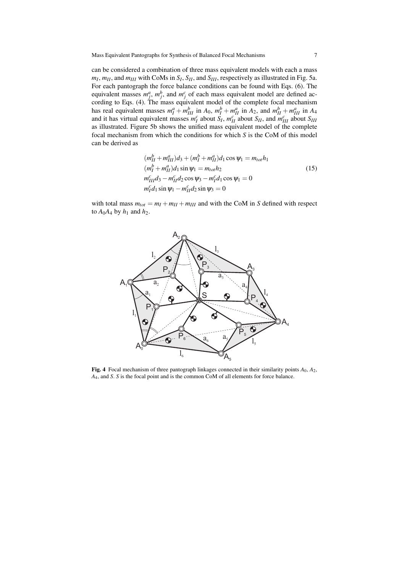can be considered a combination of three mass equivalent models with each a mass  $m_I, m_{II}$ , and  $m_{III}$  with CoMs in  $S_I, S_{II}$ , and  $S_{III}$ , respectively as illustrated in Fig. 5a. For each pantograph the force balance conditions can be found with Eqs. (6). The equivalent masses  $m_i^a$ ,  $m_i^b$ , and  $m_i^c$  of each mass equivalent model are defined ac $j$ ,  $m_j$ ,  $m_j$ , and  $m_j$  or each mass equivalent model are defined according to Eqs. (4). The mass equivalent model of the complete focal mechanism has real equivalent masses  $m_I^a + m_{III}^b$  in  $A_0$ ,  $m_I^b + m_{II}^a$  in  $A_2$ , and  $m_{II}^b + m_{III}^a$  in  $A_4$ and it has virtual equivalent masses  $m_l^c$  about  $S_l$ ,  $m_{II}^c$  about  $S_{II}$ , and  $m_{III}^c$  about  $S_{III}$ as illustrated. Figure 5b shows the unified mass equivalent model of the complete focal mechanism from which the conditions for which *S* is the CoM of this model can be derived as

$$
(m_{II}^{b} + m_{III}^{a})d_3 + (m_{I}^{b} + m_{II}^{a})d_1 \cos \psi_1 = m_{tot}h_1
$$
  
\n
$$
(m_{I}^{b} + m_{II}^{a})d_1 \sin \psi_1 = m_{tot}h_2
$$
  
\n
$$
m_{III}^{c}d_3 - m_{II}^{c}d_2 \cos \psi_3 - m_{I}^{c}d_1 \cos \psi_1 = 0
$$
  
\n
$$
m_{I}^{c}d_1 \sin \psi_1 - m_{II}^{c}d_2 \sin \psi_3 = 0
$$
\n(15)

with total mass  $m_{tot} = m_I + m_{II} + m_{III}$  and with the CoM in *S* defined with respect to  $A_0A_4$  by  $h_1$  and  $h_2$ .



Fig. 4 Focal mechanism of three pantograph linkages connected in their similarity points *A*0, *A*2, *A*4, and *S*. *S* is the focal point and is the common CoM of all elements for force balance.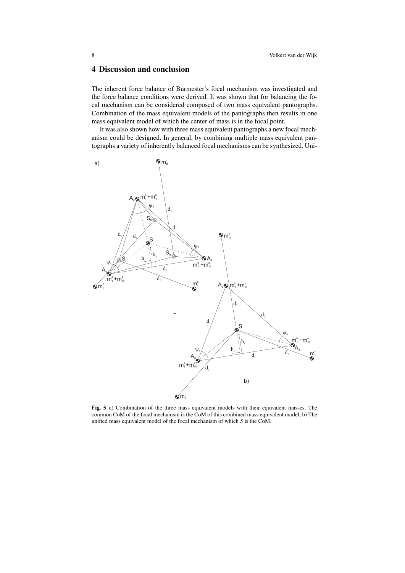### 4 Discussion and conclusion

The inherent force balance of Burmester's focal mechanism was investigated and the force balance conditions were derived. It was shown that for balancing the focal mechanism can be considered composed of two mass equivalent pantographs. Combination of the mass equivalent models of the pantographs then results in one mass equivalent model of which the center of mass is in the focal point.

It was also shown how with three mass equivalent pantographs a new focal mechanism could be designed. In general, by combining multiple mass equivalent pantographs a variety of inherently balanced focal mechanisms can be synthesized. Uni-



Fig. 5 a) Combination of the three mass equivalent models with their equivalent masses. The common CoM of the focal mechanism is the CoM of this combined mass equivalent model; b) The unified mass equivalent model of the focal mechanism of which *S* is the CoM.